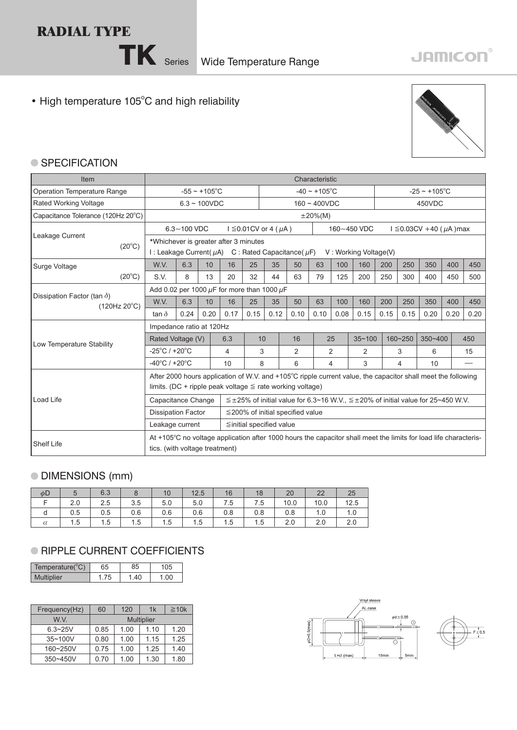## **RADIAL TYPE**

• High temperature 105°C and high reliability



## ● SPECIFICATION

| Item                                               |                                    | Characteristic                                                                                    |      |                                                                                                                                                                                |                          |                    |                                        |                |        |                                                                                                    |                    |         |             |      |      |
|----------------------------------------------------|------------------------------------|---------------------------------------------------------------------------------------------------|------|--------------------------------------------------------------------------------------------------------------------------------------------------------------------------------|--------------------------|--------------------|----------------------------------------|----------------|--------|----------------------------------------------------------------------------------------------------|--------------------|---------|-------------|------|------|
| Operation Temperature Range                        |                                    | $-55 \sim +105$ °C                                                                                |      |                                                                                                                                                                                |                          | $-40 \sim +105$ °C |                                        |                |        |                                                                                                    | $-25 \sim +105$ °C |         |             |      |      |
| <b>Rated Working Voltage</b>                       |                                    | $6.3 - 100VDC$                                                                                    |      |                                                                                                                                                                                |                          | $160 - 400VDC$     |                                        |                |        |                                                                                                    | 450VDC             |         |             |      |      |
| Capacitance Tolerance (120Hz 20°C)                 |                                    |                                                                                                   |      |                                                                                                                                                                                |                          |                    |                                        | $\pm 20\%$ (M) |        |                                                                                                    |                    |         |             |      |      |
|                                                    |                                    | $I \leq 0.01$ CV or 4 ( $\mu$ A)<br>$I \le 0.03CV +40$ (µA )max<br>$6.3 - 100$ VDC<br>160~450 VDC |      |                                                                                                                                                                                |                          |                    |                                        |                |        |                                                                                                    |                    |         |             |      |      |
| Leakage Current<br>$(20^{\circ}C)$                 |                                    |                                                                                                   |      | *Whichever is greater after 3 minutes<br>I: Leakage Current( $\mu$ A) C: Rated Capacitance( $\mu$ F)                                                                           |                          |                    |                                        |                |        | V: Working Voltage(V)                                                                              |                    |         |             |      |      |
| Surge Voltage                                      | W.V.                               | 6.3                                                                                               | 10   | 16                                                                                                                                                                             | 25                       | 35                 | 50                                     | 63             | 100    | 160                                                                                                | 200                | 250     | 350         | 400  | 450  |
| $(20^{\circ}C)$                                    | S.V.                               | 8                                                                                                 | 13   | 20                                                                                                                                                                             | 32                       | 44                 | 63                                     | 79             | 125    | 200                                                                                                | 250                | 300     | 400         | 450  | 500  |
|                                                    |                                    | Add 0.02 per 1000 $\mu$ F for more than 1000 $\mu$ F                                              |      |                                                                                                                                                                                |                          |                    |                                        |                |        |                                                                                                    |                    |         |             |      |      |
| Dissipation Factor (tan $\delta$ )<br>(120Hz 20°C) | W.V.                               | 6.3                                                                                               | 10   | 16                                                                                                                                                                             | 25                       | 35                 | 50                                     | 63             | 100    | 160                                                                                                | 200                | 250     | 350         | 400  | 450  |
|                                                    | tan $\delta$                       | 0.24                                                                                              | 0.20 | 0.17                                                                                                                                                                           | 0.15                     | 0.12               | 0.10                                   | 0.10           | 0.08   | 0.15                                                                                               | 0.15               | 0.15    | 0.20        | 0.20 | 0.20 |
|                                                    | Impedance ratio at 120Hz           |                                                                                                   |      |                                                                                                                                                                                |                          |                    |                                        |                |        |                                                                                                    |                    |         |             |      |      |
| Low Temperature Stability                          | Rated Voltage (V)                  |                                                                                                   |      | 6.3                                                                                                                                                                            | 10                       |                    | 16                                     |                | 25     | $35 - 100$                                                                                         |                    | 160~250 | $350 - 400$ |      | 450  |
|                                                    | $-25^{\circ}$ C / +20 $^{\circ}$ C |                                                                                                   |      | 4                                                                                                                                                                              | 3                        |                    | $\overline{2}$                         |                | 2      | $\overline{2}$                                                                                     |                    | 3       | 6           |      | 15   |
|                                                    | $-40^{\circ}$ C / +20 $^{\circ}$ C |                                                                                                   |      | 10                                                                                                                                                                             | 8                        |                    | 6                                      |                | 3<br>4 |                                                                                                    | 4                  |         | 10          |      |      |
|                                                    |                                    |                                                                                                   |      | After 2000 hours application of W.V. and +105°C ripple current value, the capacitor shall meet the following<br>limits. (DC + ripple peak voltage $\leq$ rate working voltage) |                          |                    |                                        |                |        |                                                                                                    |                    |         |             |      |      |
| Load Life                                          | Capacitance Change                 |                                                                                                   |      |                                                                                                                                                                                |                          |                    |                                        |                |        | $\leq \pm 25\%$ of initial value for 6.3~16 W.V., $\leq \pm 20\%$ of initial value for 25~450 W.V. |                    |         |             |      |      |
|                                                    | <b>Dissipation Factor</b>          |                                                                                                   |      |                                                                                                                                                                                |                          |                    | $\leq$ 200% of initial specified value |                |        |                                                                                                    |                    |         |             |      |      |
|                                                    | Leakage current                    |                                                                                                   |      |                                                                                                                                                                                | ≦initial specified value |                    |                                        |                |        |                                                                                                    |                    |         |             |      |      |
| <b>Shelf Life</b>                                  | tics. (with voltage treatment)     |                                                                                                   |      | At +105°C no voltage application after 1000 hours the capacitor shall meet the limits for load life characteris-                                                               |                          |                    |                                        |                |        |                                                                                                    |                    |         |             |      |      |

## DIMENSIONS (mm)

| $\phi$ D |     | 6.3 |     | 10  | 12.5 | 16  | 18  | 20   | 22   | 25   |
|----------|-----|-----|-----|-----|------|-----|-----|------|------|------|
|          | 2.0 | 2.5 | 3.5 | 5.0 | 5.0  | 7.5 | 7.5 | 10.0 | 10.0 | 12.5 |
| d        | 0.5 | 0.5 | 0.6 | 0.6 | 0.6  | 0.8 | 0.8 | 0.8  | 1.0  | 1.0  |
| $\alpha$ | 1.5 | 1.5 | 1.5 | 1.5 | 1.5  | 1.5 | 1.5 | 2.0  | 2.0  | 2.0  |

## **RIPPLE CURRENT COEFFICIENTS**

| Temperature(°C)   | 35 | 35 |  |
|-------------------|----|----|--|
| <b>Multiplier</b> |    | 40 |  |

| Frequency(Hz) | 60   | 120  | 1k                | $\geq 10k$ |
|---------------|------|------|-------------------|------------|
| W V           |      |      | <b>Multiplier</b> |            |
| $6.3 - 25V$   | 0.85 | 1.00 | 1.10              | 1.20       |
| 35~100V       | 0.80 | 1.00 | 1.15              | 1.25       |
| 160~250V      | 0.75 | 1.00 | 1.25              | 1.40       |
| 350~450V      | 0.70 | 1.00 | 1.30              | 1.80       |

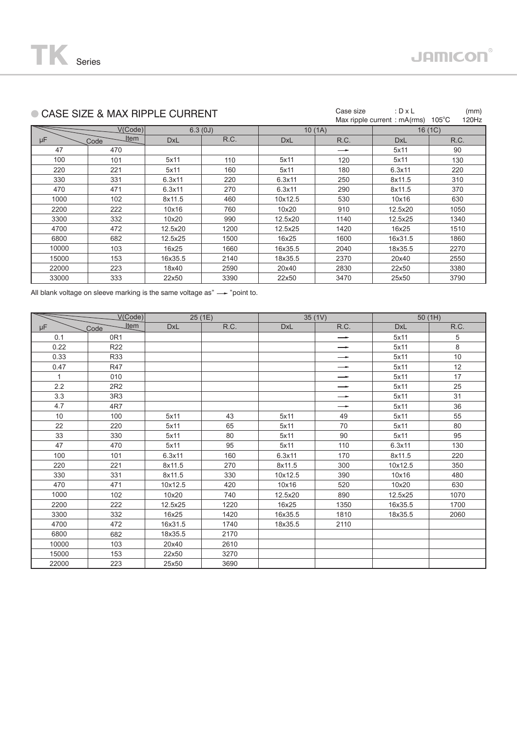|       | ● CASE SIZE & MAX RIPPLE CURRENT |            |         | Case size  | : $D \times L$<br>Max ripple current: mA(rms) | (mm)<br>$105^{\circ}$ C<br>120Hz |      |  |
|-------|----------------------------------|------------|---------|------------|-----------------------------------------------|----------------------------------|------|--|
|       |                                  |            |         |            |                                               |                                  |      |  |
|       | V(Code)                          |            | 6.3(0J) |            | 10(1A)                                        | 16(1C)                           |      |  |
| μF    | <b>Item</b><br>Code              | <b>DxL</b> | R.C.    | <b>DxL</b> | R.C.                                          | <b>DxL</b>                       | R.C. |  |
| 47    | 470                              |            |         |            | →                                             | 5x11                             | 90   |  |
| 100   | 101                              | 5x11       | 110     | 5x11       | 120                                           | 5x11                             | 130  |  |
| 220   | 221                              | 5x11       | 160     | 5x11       | 180                                           | 6.3x11                           | 220  |  |
| 330   | 331                              | 6.3x11     | 220     | 6.3x11     | 250                                           | 8x11.5                           | 310  |  |
| 470   | 471                              | 6.3x11     | 270     | 6.3x11     | 290                                           | 8x11.5                           | 370  |  |
| 1000  | 102                              | 8x11.5     | 460     | 10x12.5    | 530                                           | 10x16                            | 630  |  |
| 2200  | 222                              | 10x16      | 760     | 10x20      | 910                                           | 12.5x20                          | 1050 |  |
| 3300  | 332                              | 10x20      | 990     | 12.5x20    | 1140                                          | 12.5x25                          | 1340 |  |
| 4700  | 472                              | 12.5x20    | 1200    | 12.5x25    | 1420                                          | 16x25                            | 1510 |  |
| 6800  | 682                              | 12.5x25    | 1500    | 16x25      | 1600                                          | 16x31.5                          | 1860 |  |
| 10000 | 103                              | 16x25      | 1660    | 16x35.5    | 2040                                          | 18x35.5                          | 2270 |  |
| 15000 | 153                              | 16x35.5    | 2140    | 18x35.5    | 2370                                          | 20x40                            | 2550 |  |
| 22000 | 223                              | 18x40      | 2590    | 20x40      | 2830                                          | 22x50                            | 3380 |  |
| 33000 | 333                              | 22x50      | 3390    | 22x50      | 3470                                          | 25x50                            | 3790 |  |
|       |                                  |            |         |            |                                               |                                  |      |  |

All blank voltage on sleeve marking is the same voltage as" $\longrightarrow$  "point to.

|              | V(Code)             | 25(1E)     |      |            | 35(1V)            | 50(1H)     |      |  |
|--------------|---------------------|------------|------|------------|-------------------|------------|------|--|
| μF           | <b>Item</b><br>Code | <b>DxL</b> | R.C. | <b>DxL</b> | R.C.              | <b>DxL</b> | R.C. |  |
| 0.1          | 0 <sub>R1</sub>     |            |      |            | $\rightarrow$     | 5x11       | 5    |  |
| 0.22         | R22                 |            |      |            | $\rightarrow$     | 5x11       | 8    |  |
| 0.33         | R33                 |            |      |            | $\longrightarrow$ | 5x11       | 10   |  |
| 0.47         | <b>R47</b>          |            |      |            | $\rightarrow$     | 5x11       | 12   |  |
| $\mathbf{1}$ | 010                 |            |      |            | $\longrightarrow$ | 5x11       | 17   |  |
| 2.2          | 2R2                 |            |      |            | $\rightarrow$     | 5x11       | 25   |  |
| 3.3          | 3R3                 |            |      |            | $\rightarrow$     | 5x11       | 31   |  |
| 4.7          | 4R7                 |            |      |            | $\longrightarrow$ | 5x11       | 36   |  |
| 10           | 100                 | 5x11       | 43   | 5x11       | 49                | 5x11       | 55   |  |
| 22           | 220                 | 5x11       | 65   | 5x11       | 70                | 5x11       | 80   |  |
| 33           | 330                 | 5x11       | 80   | 5x11       | 90                | 5x11       | 95   |  |
| 47           | 470                 | 5x11       | 95   | 5x11       | 110               | 6.3x11     | 130  |  |
| 100          | 101                 | 6.3x11     | 160  | 6.3x11     | 170               | 8x11.5     | 220  |  |
| 220          | 221                 | 8x11.5     | 270  | 8x11.5     | 300               | 10x12.5    | 350  |  |
| 330          | 331                 | 8x11.5     | 330  | 10x12.5    | 390               | 10x16      | 480  |  |
| 470          | 471                 | 10x12.5    | 420  | 10x16      | 520               | 10x20      | 630  |  |
| 1000         | 102                 | 10x20      | 740  | 12.5x20    | 890               | 12.5x25    | 1070 |  |
| 2200         | 222                 | 12.5x25    | 1220 | 16x25      | 1350              | 16x35.5    | 1700 |  |
| 3300         | 332                 | 16x25      | 1420 | 16x35.5    | 1810              | 18x35.5    | 2060 |  |
| 4700         | 472                 | 16x31.5    | 1740 | 18x35.5    | 2110              |            |      |  |
| 6800         | 682                 | 18x35.5    | 2170 |            |                   |            |      |  |
| 10000        | 103                 | 20x40      | 2610 |            |                   |            |      |  |
| 15000        | 153                 | 22x50      | 3270 |            |                   |            |      |  |
| 22000        | 223                 | 25x50      | 3690 |            |                   |            |      |  |